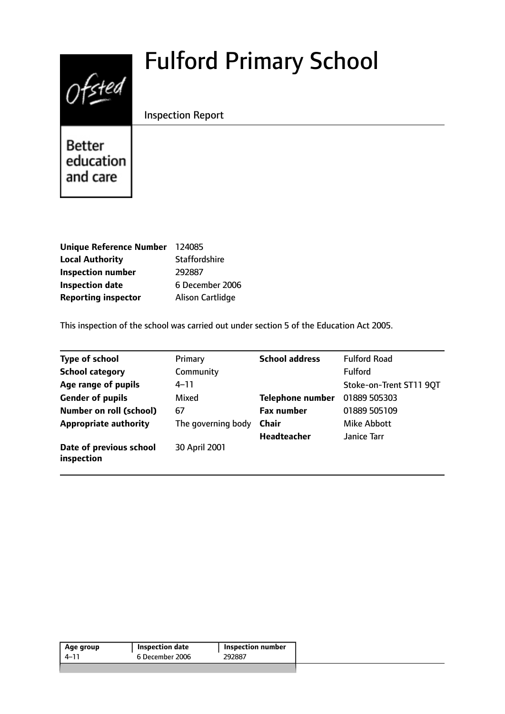# Fulford Primary School



Inspection Report

**Better** education and care

| Unique Reference Number 124085 |                         |
|--------------------------------|-------------------------|
| <b>Local Authority</b>         | <b>Staffordshire</b>    |
| <b>Inspection number</b>       | 292887                  |
| <b>Inspection date</b>         | 6 December 2006         |
| <b>Reporting inspector</b>     | <b>Alison Cartlidge</b> |

This inspection of the school was carried out under section 5 of the Education Act 2005.

| <b>Type of school</b>                 | Primary            | <b>School address</b>   | <b>Fulford Road</b>     |
|---------------------------------------|--------------------|-------------------------|-------------------------|
| <b>School category</b>                | Community          |                         | Fulford                 |
| Age range of pupils                   | $4 - 11$           |                         | Stoke-on-Trent ST11 90T |
| <b>Gender of pupils</b>               | Mixed              | <b>Telephone number</b> | 01889 505303            |
| <b>Number on roll (school)</b>        | 67                 | <b>Fax number</b>       | 01889 505109            |
| <b>Appropriate authority</b>          | The governing body | Chair                   | Mike Abbott             |
|                                       |                    | <b>Headteacher</b>      | Janice Tarr             |
| Date of previous school<br>inspection | 30 April 2001      |                         |                         |

| Age group | Inspection date | <b>Inspection number</b> |
|-----------|-----------------|--------------------------|
| 4–11      | 6 December 2006 | 292887                   |
|           |                 |                          |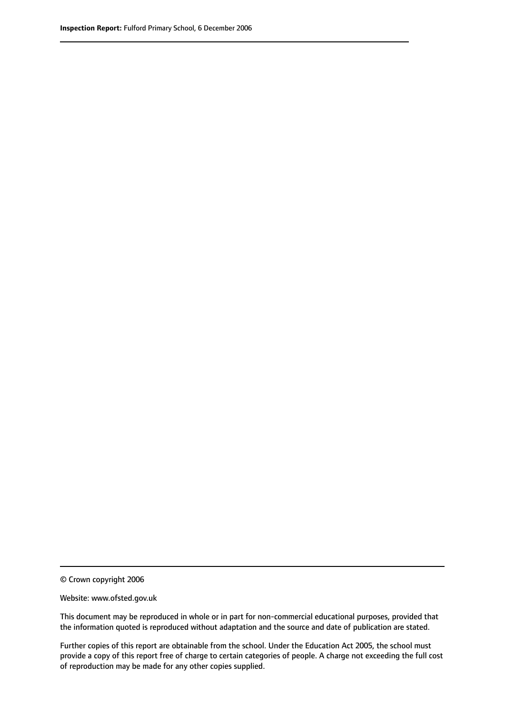© Crown copyright 2006

Website: www.ofsted.gov.uk

This document may be reproduced in whole or in part for non-commercial educational purposes, provided that the information quoted is reproduced without adaptation and the source and date of publication are stated.

Further copies of this report are obtainable from the school. Under the Education Act 2005, the school must provide a copy of this report free of charge to certain categories of people. A charge not exceeding the full cost of reproduction may be made for any other copies supplied.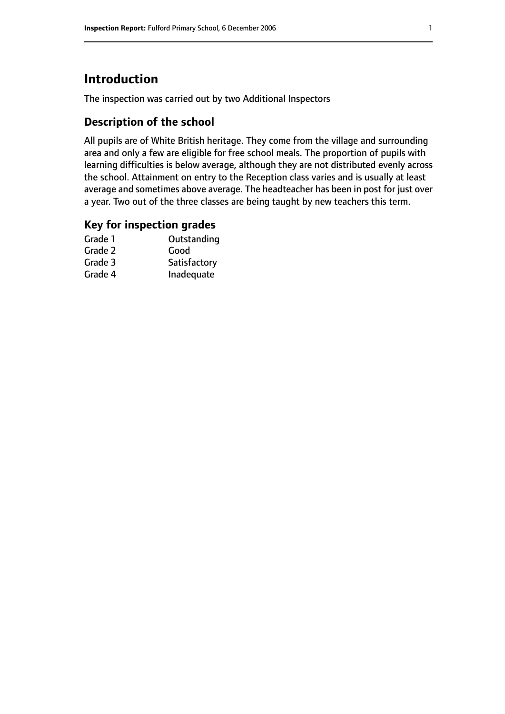# **Introduction**

The inspection was carried out by two Additional Inspectors

# **Description of the school**

All pupils are of White British heritage. They come from the village and surrounding area and only a few are eligible for free school meals. The proportion of pupils with learning difficulties is below average, although they are not distributed evenly across the school. Attainment on entry to the Reception class varies and is usually at least average and sometimes above average. The headteacher has been in post for just over a year. Two out of the three classes are being taught by new teachers this term.

#### **Key for inspection grades**

| Outstanding  |
|--------------|
| Good         |
| Satisfactory |
| Inadequate   |
|              |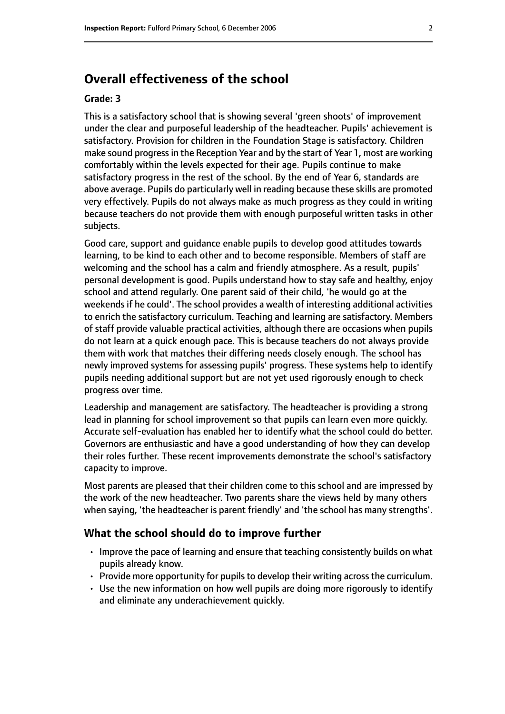# **Overall effectiveness of the school**

#### **Grade: 3**

This is a satisfactory school that is showing several 'green shoots' of improvement under the clear and purposeful leadership of the headteacher. Pupils' achievement is satisfactory. Provision for children in the Foundation Stage is satisfactory. Children make sound progressin the Reception Year and by the start of Year 1, most are working comfortably within the levels expected for their age. Pupils continue to make satisfactory progress in the rest of the school. By the end of Year 6, standards are above average. Pupils do particularly well in reading because these skills are promoted very effectively. Pupils do not always make as much progress as they could in writing because teachers do not provide them with enough purposeful written tasks in other subjects.

Good care, support and guidance enable pupils to develop good attitudes towards learning, to be kind to each other and to become responsible. Members of staff are welcoming and the school has a calm and friendly atmosphere. As a result, pupils' personal development is good. Pupils understand how to stay safe and healthy, enjoy school and attend regularly. One parent said of their child, 'he would go at the weekends if he could'. The school provides a wealth of interesting additional activities to enrich the satisfactory curriculum. Teaching and learning are satisfactory. Members of staff provide valuable practical activities, although there are occasions when pupils do not learn at a quick enough pace. This is because teachers do not always provide them with work that matches their differing needs closely enough. The school has newly improved systems for assessing pupils' progress. These systems help to identify pupils needing additional support but are not yet used rigorously enough to check progress over time.

Leadership and management are satisfactory. The headteacher is providing a strong lead in planning for school improvement so that pupils can learn even more quickly. Accurate self-evaluation has enabled her to identify what the school could do better. Governors are enthusiastic and have a good understanding of how they can develop their roles further. These recent improvements demonstrate the school's satisfactory capacity to improve.

Most parents are pleased that their children come to this school and are impressed by the work of the new headteacher. Two parents share the views held by many others when saying, 'the headteacher is parent friendly' and 'the school has many strengths'.

#### **What the school should do to improve further**

- Improve the pace of learning and ensure that teaching consistently builds on what pupils already know.
- $\cdot$  Provide more opportunity for pupils to develop their writing across the curriculum.
- Use the new information on how well pupils are doing more rigorously to identify and eliminate any underachievement quickly.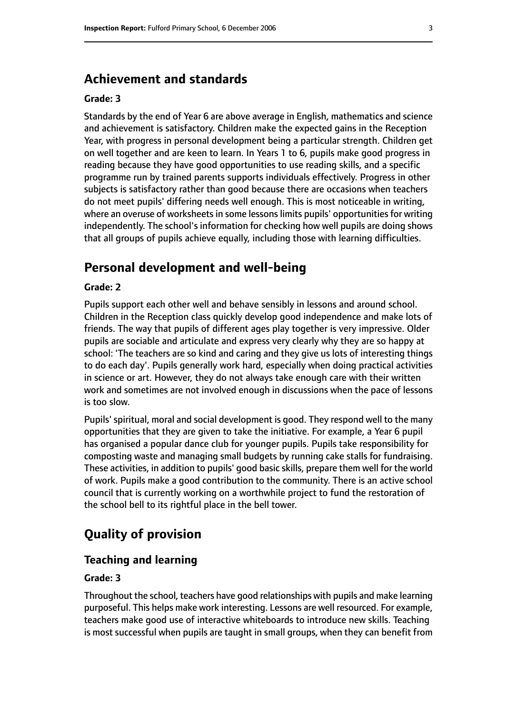## **Achievement and standards**

#### **Grade: 3**

Standards by the end of Year 6 are above average in English, mathematics and science and achievement is satisfactory. Children make the expected gains in the Reception Year, with progress in personal development being a particular strength. Children get on well together and are keen to learn. In Years 1 to 6, pupils make good progress in reading because they have good opportunities to use reading skills, and a specific programme run by trained parents supports individuals effectively. Progress in other subjects is satisfactory rather than good because there are occasions when teachers do not meet pupils' differing needs well enough. This is most noticeable in writing, where an overuse of worksheets in some lessons limits pupils' opportunities for writing independently. The school's information for checking how well pupils are doing shows that all groups of pupils achieve equally, including those with learning difficulties.

### **Personal development and well-being**

#### **Grade: 2**

Pupils support each other well and behave sensibly in lessons and around school. Children in the Reception class quickly develop good independence and make lots of friends. The way that pupils of different ages play together is very impressive. Older pupils are sociable and articulate and express very clearly why they are so happy at school: 'The teachers are so kind and caring and they give us lots of interesting things to do each day'. Pupils generally work hard, especially when doing practical activities in science or art. However, they do not always take enough care with their written work and sometimes are not involved enough in discussions when the pace of lessons is too slow.

Pupils' spiritual, moral and social development is good. They respond well to the many opportunities that they are given to take the initiative. For example, a Year 6 pupil has organised a popular dance club for younger pupils. Pupils take responsibility for composting waste and managing small budgets by running cake stalls for fundraising. These activities, in addition to pupils' good basic skills, prepare them well for the world of work. Pupils make a good contribution to the community. There is an active school council that is currently working on a worthwhile project to fund the restoration of the school bell to its rightful place in the bell tower.

# **Quality of provision**

#### **Teaching and learning**

#### **Grade: 3**

Throughout the school, teachers have good relationships with pupils and make learning purposeful. This helps make work interesting. Lessons are well resourced. For example, teachers make good use of interactive whiteboards to introduce new skills. Teaching is most successful when pupils are taught in small groups, when they can benefit from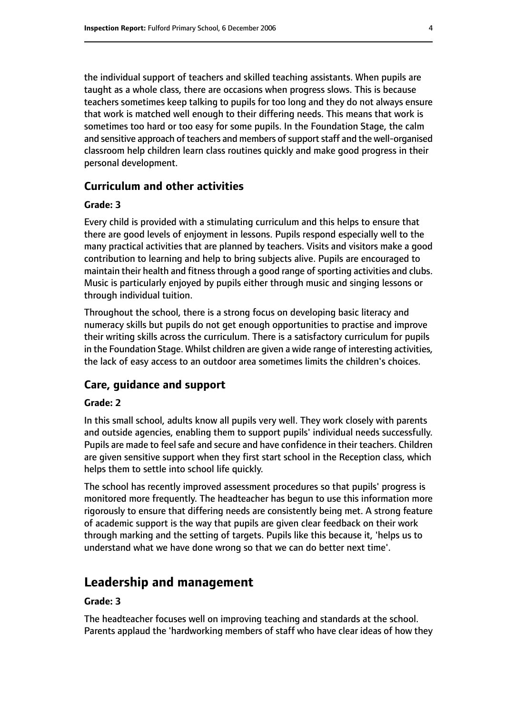the individual support of teachers and skilled teaching assistants. When pupils are taught as a whole class, there are occasions when progress slows. This is because teachers sometimes keep talking to pupils for too long and they do not always ensure that work is matched well enough to their differing needs. This means that work is sometimes too hard or too easy for some pupils. In the Foundation Stage, the calm and sensitive approach of teachers and members of support staff and the well-organised classroom help children learn class routines quickly and make good progress in their personal development.

## **Curriculum and other activities**

#### **Grade: 3**

Every child is provided with a stimulating curriculum and this helps to ensure that there are good levels of enjoyment in lessons. Pupils respond especially well to the many practical activities that are planned by teachers. Visits and visitors make a good contribution to learning and help to bring subjects alive. Pupils are encouraged to maintain their health and fitness through a good range of sporting activities and clubs. Music is particularly enjoyed by pupils either through music and singing lessons or through individual tuition.

Throughout the school, there is a strong focus on developing basic literacy and numeracy skills but pupils do not get enough opportunities to practise and improve their writing skills across the curriculum. There is a satisfactory curriculum for pupils in the Foundation Stage. Whilst children are given a wide range of interesting activities, the lack of easy access to an outdoor area sometimes limits the children's choices.

#### **Care, guidance and support**

#### **Grade: 2**

In this small school, adults know all pupils very well. They work closely with parents and outside agencies, enabling them to support pupils' individual needs successfully. Pupils are made to feel safe and secure and have confidence in their teachers. Children are given sensitive support when they first start school in the Reception class, which helps them to settle into school life quickly.

The school has recently improved assessment procedures so that pupils' progress is monitored more frequently. The headteacher has begun to use this information more rigorously to ensure that differing needs are consistently being met. A strong feature of academic support is the way that pupils are given clear feedback on their work through marking and the setting of targets. Pupils like this because it, 'helps us to understand what we have done wrong so that we can do better next time'.

# **Leadership and management**

#### **Grade: 3**

The headteacher focuses well on improving teaching and standards at the school. Parents applaud the 'hardworking members of staff who have clear ideas of how they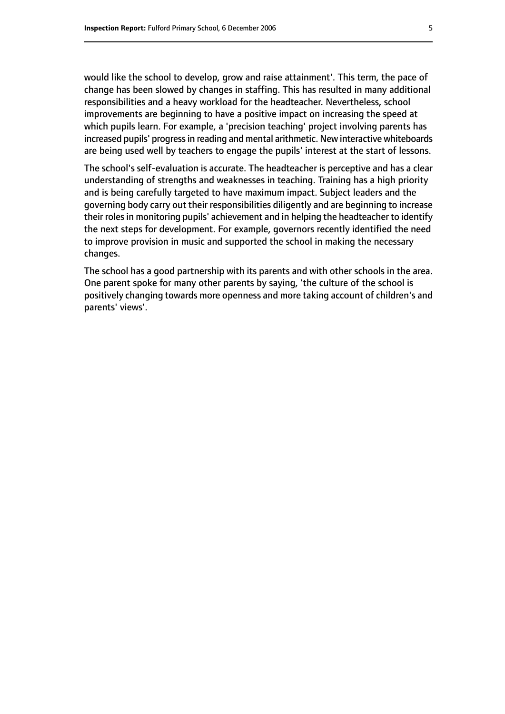would like the school to develop, grow and raise attainment'. This term, the pace of change has been slowed by changes in staffing. This has resulted in many additional responsibilities and a heavy workload for the headteacher. Nevertheless, school improvements are beginning to have a positive impact on increasing the speed at which pupils learn. For example, a 'precision teaching' project involving parents has increased pupils' progress in reading and mental arithmetic. New interactive whiteboards are being used well by teachers to engage the pupils' interest at the start of lessons.

The school's self-evaluation is accurate. The headteacher is perceptive and has a clear understanding of strengths and weaknesses in teaching. Training has a high priority and is being carefully targeted to have maximum impact. Subject leaders and the governing body carry out their responsibilities diligently and are beginning to increase their roles in monitoring pupils' achievement and in helping the headteacher to identify the next steps for development. For example, governors recently identified the need to improve provision in music and supported the school in making the necessary changes.

The school has a good partnership with its parents and with other schools in the area. One parent spoke for many other parents by saying, 'the culture of the school is positively changing towards more openness and more taking account of children's and parents' views'.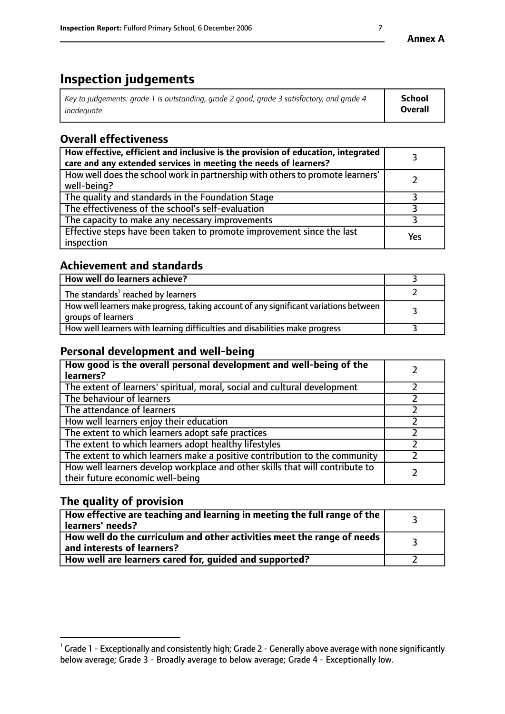# **Inspection judgements**

| Key to judgements: grade 1 is outstanding, grade 2 good, grade 3 satisfactory, and grade 4 | School         |
|--------------------------------------------------------------------------------------------|----------------|
| inadeauate                                                                                 | <b>Overall</b> |

# **Overall effectiveness**

| How effective, efficient and inclusive is the provision of education, integrated<br>care and any extended services in meeting the needs of learners? |     |
|------------------------------------------------------------------------------------------------------------------------------------------------------|-----|
| How well does the school work in partnership with others to promote learners'<br>well-being?                                                         |     |
| The quality and standards in the Foundation Stage                                                                                                    |     |
| The effectiveness of the school's self-evaluation                                                                                                    |     |
| The capacity to make any necessary improvements                                                                                                      |     |
| Effective steps have been taken to promote improvement since the last<br>inspection                                                                  | Yes |

# **Achievement and standards**

| How well do learners achieve?                                                                               |  |
|-------------------------------------------------------------------------------------------------------------|--|
| The standards <sup>1</sup> reached by learners                                                              |  |
| How well learners make progress, taking account of any significant variations between<br>groups of learners |  |
| How well learners with learning difficulties and disabilities make progress                                 |  |

## **Personal development and well-being**

| How good is the overall personal development and well-being of the<br>learners?                                  |  |
|------------------------------------------------------------------------------------------------------------------|--|
| The extent of learners' spiritual, moral, social and cultural development                                        |  |
| The behaviour of learners                                                                                        |  |
| The attendance of learners                                                                                       |  |
| How well learners enjoy their education                                                                          |  |
| The extent to which learners adopt safe practices                                                                |  |
| The extent to which learners adopt healthy lifestyles                                                            |  |
| The extent to which learners make a positive contribution to the community                                       |  |
| How well learners develop workplace and other skills that will contribute to<br>their future economic well-being |  |

# **The quality of provision**

| How effective are teaching and learning in meeting the full range of the<br>learners' needs?          |  |
|-------------------------------------------------------------------------------------------------------|--|
| How well do the curriculum and other activities meet the range of needs<br>and interests of learners? |  |
| How well are learners cared for, guided and supported?                                                |  |

 $^1$  Grade 1 - Exceptionally and consistently high; Grade 2 - Generally above average with none significantly below average; Grade 3 - Broadly average to below average; Grade 4 - Exceptionally low.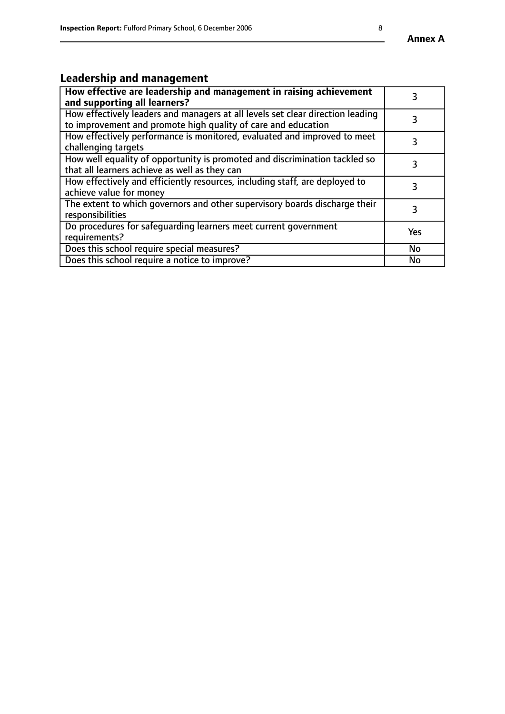# **Leadership and management**

| How effective are leadership and management in raising achievement<br>and supporting all learners?                                              |           |
|-------------------------------------------------------------------------------------------------------------------------------------------------|-----------|
| How effectively leaders and managers at all levels set clear direction leading<br>to improvement and promote high quality of care and education |           |
| How effectively performance is monitored, evaluated and improved to meet<br>challenging targets                                                 | 3         |
| How well equality of opportunity is promoted and discrimination tackled so<br>that all learners achieve as well as they can                     |           |
| How effectively and efficiently resources, including staff, are deployed to<br>achieve value for money                                          | З         |
| The extent to which governors and other supervisory boards discharge their<br>responsibilities                                                  | 3         |
| Do procedures for safequarding learners meet current government<br>requirements?                                                                | Yes       |
| Does this school require special measures?                                                                                                      | No        |
| Does this school require a notice to improve?                                                                                                   | <b>No</b> |